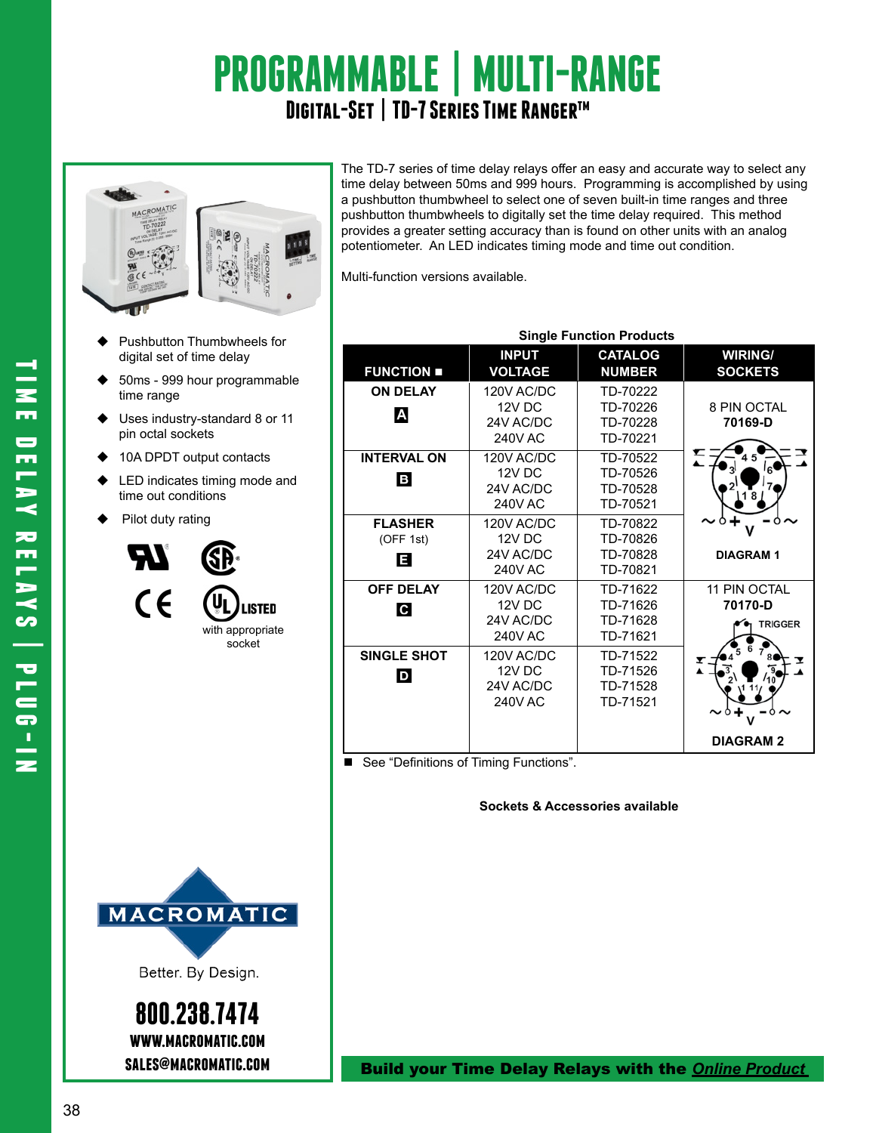# **PROGRAMMABLE | MULTI-RANGE Digital-Set | TD-7 Series Time Rangertm**



- Pushbutton Thumbwheels for digital set of time delay
- 50ms 999 hour programmable time range
- Uses industry-standard 8 or 11
- pin octal sockets
- 10A DPDT output contacts
- LED indicates timing mode and time out conditions
- Pilot duty rating





Multi-function versions available.

|                                  | <b>Single Function Products</b>                     |                                              |                                           |
|----------------------------------|-----------------------------------------------------|----------------------------------------------|-------------------------------------------|
| <b>FUNCTION </b>                 | <b>INPUT</b><br><b>VOLTAGE</b>                      | <b>CATALOG</b><br><b>NUMBER</b>              | <b>WIRING/</b><br><b>SOCKETS</b>          |
| <b>ON DELAY</b><br>Α             | 120V AC/DC<br>12V DC<br>24V AC/DC<br><b>240V AC</b> | TD-70222<br>TD-70226<br>TD-70228<br>TD-70221 | 8 PIN OCTAL<br>70169-D                    |
| <b>INTERVAL ON</b><br>В          | 120V AC/DC<br>12V DC<br>24V AC/DC<br><b>240V AC</b> | TD-70522<br>TD-70526<br>TD-70528<br>TD-70521 |                                           |
| <b>FLASHER</b><br>(OFF 1st)<br>ē | 120V AC/DC<br>12V DC<br>24V AC/DC<br><b>240V AC</b> | TD-70822<br>TD-70826<br>TD-70828<br>TD-70821 | <b>DIAGRAM1</b>                           |
| <b>OFF DELAY</b><br>C.           | 120V AC/DC<br>12V DC<br>24V AC/DC<br><b>240V AC</b> | TD-71622<br>TD-71626<br>TD-71628<br>TD-71621 | 11 PIN OCTAL<br>70170-D<br><b>TRIGGER</b> |
| <b>SINGLE SHOT</b><br>D          | 120V AC/DC<br>12V DC<br>24V AC/DC<br><b>240V AC</b> | TD-71522<br>TD-71526<br>TD-71528<br>TD-71521 |                                           |
|                                  |                                                     |                                              | <b>DIAGRAM 2</b>                          |

■ See "Definitions of Timing Functions".

#### **Sockets & Accessories available**



Better. By Design.

**800.238.7474 www.macromatic.com**

**sales@macromatic.com** Build your Time Delay Relays with the *Online [Product](http:/http://www.macromatic.com/product-builder/home/)*